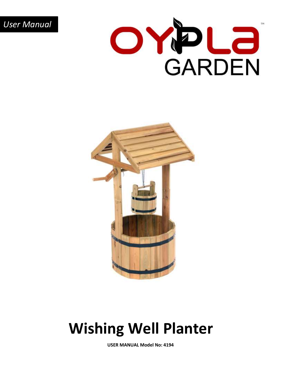*User Manual*





## **Wishing Well Planter**

**USER MANUAL Model No: 4194**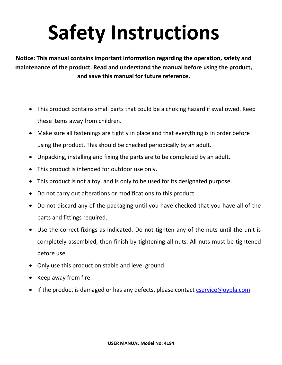# **Safety Instructions**

**Notice: This manual contains important information regarding the operation, safety and maintenance of the product. Read and understand the manual before using the product, and save this manual for future reference.** 

- This product contains small parts that could be a choking hazard if swallowed. Keep these items away from children.
- Make sure all fastenings are tightly in place and that everything is in order before using the product. This should be checked periodically by an adult.
- Unpacking, installing and fixing the parts are to be completed by an adult.
- This product is intended for outdoor use only.
- This product is not a toy, and is only to be used for its designated purpose.
- Do not carry out alterations or modifications to this product.
- Do not discard any of the packaging until you have checked that you have all of the parts and fittings required.
- Use the correct fixings as indicated. Do not tighten any of the nuts until the unit is completely assembled, then finish by tightening all nuts. All nuts must be tightened before use.
- Only use this product on stable and level ground.
- Keep away from fire.
- If the product is damaged or has any defects, please contact [cservice@oypla.com](mailto:cservice@oypla.com)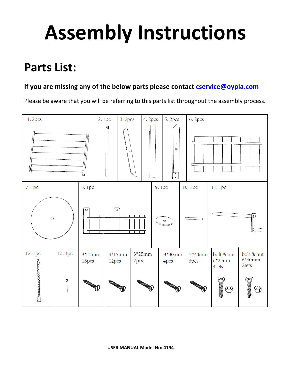## **Assembly Instructions**

### **Parts List:**

### **If you are missing any of the below parts please contact [cservice@oypla.com](mailto:cservice@oypla.com)**

Please be aware that you will be referring to this parts list throughout the assembly process.

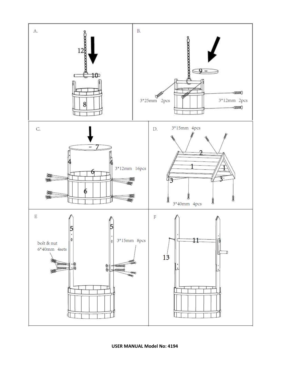